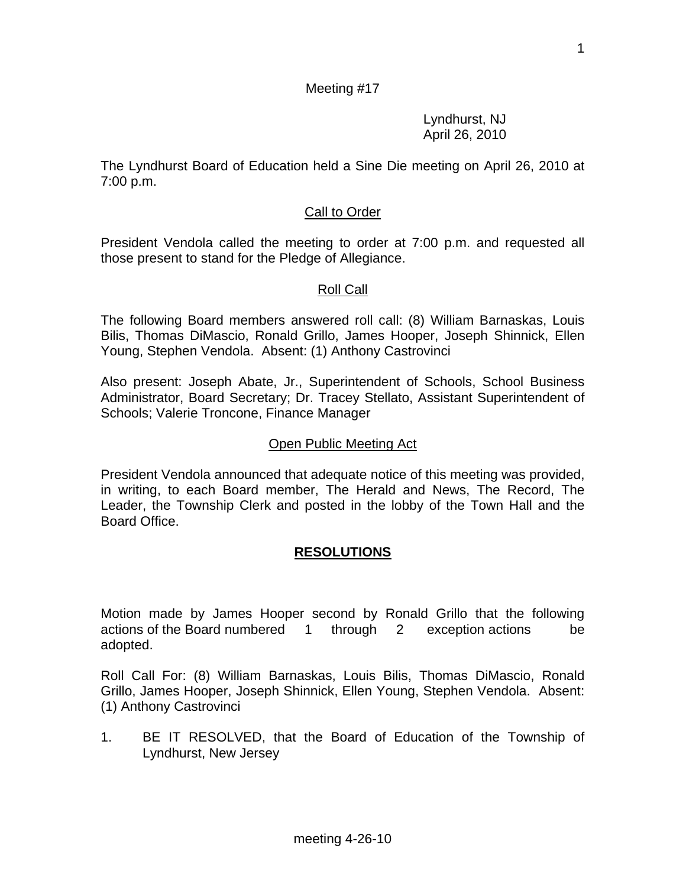1

## Meeting #17

 Lyndhurst, NJ April 26, 2010

The Lyndhurst Board of Education held a Sine Die meeting on April 26, 2010 at 7:00 p.m.

## **Call to Order**

President Vendola called the meeting to order at 7:00 p.m. and requested all those present to stand for the Pledge of Allegiance.

### Roll Call

The following Board members answered roll call: (8) William Barnaskas, Louis Bilis, Thomas DiMascio, Ronald Grillo, James Hooper, Joseph Shinnick, Ellen Young, Stephen Vendola. Absent: (1) Anthony Castrovinci

Also present: Joseph Abate, Jr., Superintendent of Schools, School Business Administrator, Board Secretary; Dr. Tracey Stellato, Assistant Superintendent of Schools; Valerie Troncone, Finance Manager

#### Open Public Meeting Act

President Vendola announced that adequate notice of this meeting was provided, in writing, to each Board member, The Herald and News, The Record, The Leader, the Township Clerk and posted in the lobby of the Town Hall and the Board Office.

## **RESOLUTIONS**

Motion made by James Hooper second by Ronald Grillo that the following actions of the Board numbered 1 through 2 exception actions be adopted.

Roll Call For: (8) William Barnaskas, Louis Bilis, Thomas DiMascio, Ronald Grillo, James Hooper, Joseph Shinnick, Ellen Young, Stephen Vendola. Absent: (1) Anthony Castrovinci

1. BE IT RESOLVED, that the Board of Education of the Township of Lyndhurst, New Jersey